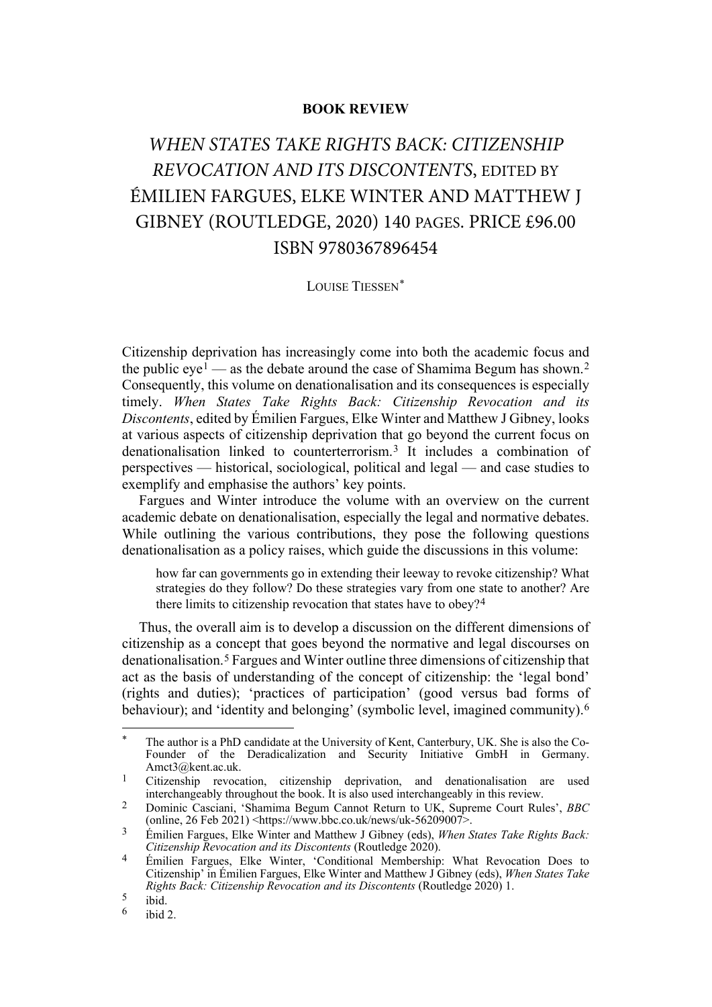## **BOOK REVIEW**

## *WHEN STATES TAKE RIGHTS BACK: CITIZENSHIP REVOCATION AND ITS DISCONTENTS*, EDITED BY ÉMILIEN FARGUES, ELKE WINTER AND MATTHEW J GIBNEY (ROUTLEDGE, 2020) 140 PAGES. PRICE £96.00 ISBN 9780367896454

## LOUISE TIESSEN[\\*](#page-0-0)

Citizenship deprivation has increasingly come into both the academic focus and the public  $eye<sup>1</sup>$  $eye<sup>1</sup>$  $eye<sup>1</sup>$  — as the debate around the case of Shamima Begum has shown.<sup>[2](#page-0-2)</sup> Consequently, this volume on denationalisation and its consequences is especially timely. *When States Take Rights Back: Citizenship Revocation and its Discontents*, edited by Émilien Fargues, Elke Winter and Matthew J Gibney, looks at various aspects of citizenship deprivation that go beyond the current focus on denationalisation linked to counterterrorism.[3](#page-0-3) It includes a combination of perspectives — historical, sociological, political and legal — and case studies to exemplify and emphasise the authors' key points.

Fargues and Winter introduce the volume with an overview on the current academic debate on denationalisation, especially the legal and normative debates. While outlining the various contributions, they pose the following questions denationalisation as a policy raises, which guide the discussions in this volume:

how far can governments go in extending their leeway to revoke citizenship? What strategies do they follow? Do these strategies vary from one state to another? Are there limits to citizenship revocation that states have to obey?[4](#page-0-4)

Thus, the overall aim is to develop a discussion on the different dimensions of citizenship as a concept that goes beyond the normative and legal discourses on denationalisation.[5](#page-0-5) Fargues and Winter outline three dimensions of citizenship that act as the basis of understanding of the concept of citizenship: the 'legal bond' (rights and duties); 'practices of participation' (good versus bad forms of behaviour); and 'identity and belonging' (symbolic level, imagined community).<sup>[6](#page-0-6)</sup>

<span id="page-0-0"></span>The author is a PhD candidate at the University of Kent, Canterbury, UK. She is also the Co-Founder of the Deradicalization and Security Initiative GmbH in Germany. Amct3@kent.ac.uk.

<span id="page-0-1"></span><sup>&</sup>lt;sup>1</sup> Citizenship revocation, citizenship deprivation, and denationalisation are used interchangeably throughout the book. It is also used interchangeably in this review.

<span id="page-0-2"></span><sup>2</sup> Dominic Casciani, 'Shamima Begum Cannot Return to UK, Supreme Court Rules', *BBC* (online, 26 Feb 2021) <https://www.bbc.co.uk/news/uk-56209007>.

<span id="page-0-3"></span><sup>3</sup> Émilien Fargues, Elke Winter and Matthew J Gibney (eds), *When States Take Rights Back: Citizenship Revocation and its Discontents* (Routledge 2020).

<span id="page-0-4"></span><sup>4</sup> Émilien Fargues, Elke Winter, 'Conditional Membership: What Revocation Does to Citizenship' in Émilien Fargues, Elke Winter and Matthew J Gibney (eds), *When States Take Rights Back: Citizenship Revocation and its Discontents* (Routledge 2020) 1.

<span id="page-0-6"></span><span id="page-0-5"></span> $rac{5}{6}$  ibid.

ibid 2.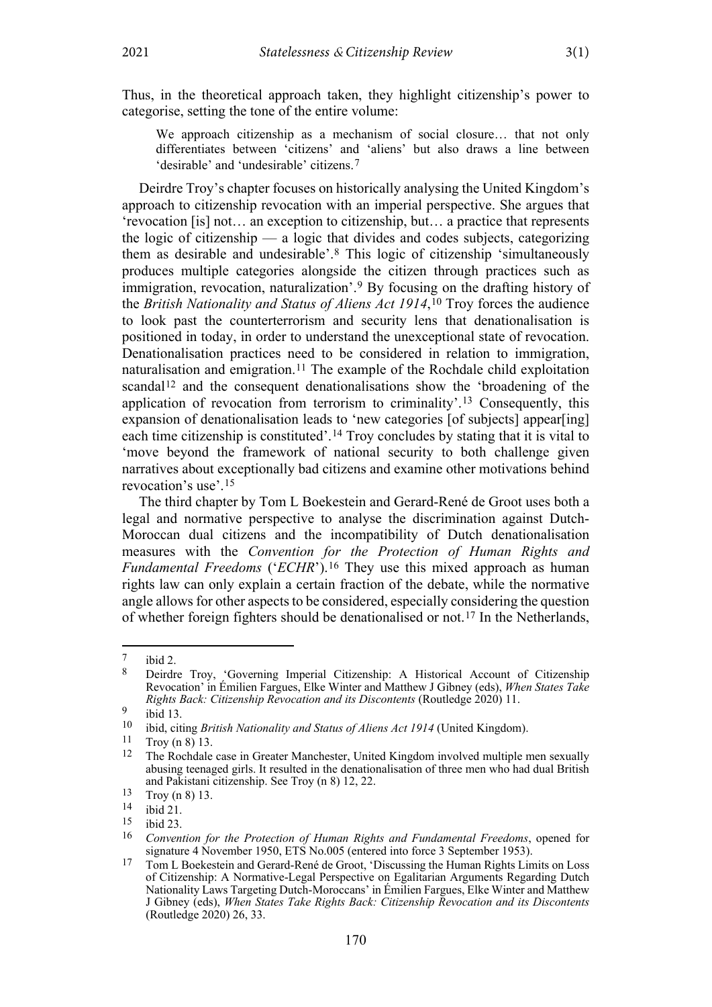Thus, in the theoretical approach taken, they highlight citizenship's power to categorise, setting the tone of the entire volume:

<span id="page-1-0"></span>We approach citizenship as a mechanism of social closure… that not only differentiates between 'citizens' and 'aliens' but also draws a line between 'desirable' and 'undesirable' citizens.[7](#page-1-1)

Deirdre Troy's chapter focuses on historically analysing the United Kingdom's approach to citizenship revocation with an imperial perspective. She argues that 'revocation [is] not… an exception to citizenship, but… a practice that represents the logic of citizenship — a logic that divides and codes subjects, categorizing them as desirable and undesirable'.[8](#page-1-2) This logic of citizenship 'simultaneously produces multiple categories alongside the citizen through practices such as immigration, revocation, naturalization'.[9](#page-1-3) By focusing on the drafting history of the *British Nationality and Status of Aliens Act 1914*,[10](#page-1-4) Troy forces the audience to look past the counterterrorism and security lens that denationalisation is positioned in today, in order to understand the unexceptional state of revocation. Denationalisation practices need to be considered in relation to immigration, naturalisation and emigration.<sup>[11](#page-1-5)</sup> The example of the Rochdale child exploitation scandal<sup>[12](#page-1-6)</sup> and the consequent denationalisations show the 'broadening of the application of revocation from terrorism to criminality'.[13](#page-1-7) Consequently, this expansion of denationalisation leads to 'new categories [of subjects] appear[ing] each time citizenship is constituted'.[14](#page-1-8) Troy concludes by stating that it is vital to 'move beyond the framework of national security to both challenge given narratives about exceptionally bad citizens and examine other motivations behind revocation's use'.[15](#page-1-9)

The third chapter by Tom L Boekestein and Gerard-René de Groot uses both a legal and normative perspective to analyse the discrimination against Dutch-Moroccan dual citizens and the incompatibility of Dutch denationalisation measures with the *Convention for the Protection of Human Rights and Fundamental Freedoms* ('*ECHR*').[16](#page-1-10) They use this mixed approach as human rights law can only explain a certain fraction of the debate, while the normative angle allows for other aspects to be considered, especially considering the question of whether foreign fighters should be denationalised or not.[17](#page-1-11) In the Netherlands,

<span id="page-1-2"></span><span id="page-1-1"></span> $\begin{bmatrix} 7 & \text{ibid } 2 \\ 8 & \text{Deirdr} \end{bmatrix}$ 

<sup>8</sup> Deirdre Troy, 'Governing Imperial Citizenship: A Historical Account of Citizenship Revocation' in Émilien Fargues, Elke Winter and Matthew J Gibney (eds), *When States Take Rights Back: Citizenship Revocation and its Discontents* (Routledge 2020) 11.

<span id="page-1-3"></span> $\frac{9}{10}$  ibid 13.

<span id="page-1-4"></span><sup>10</sup> ibid, citing *British Nationality and Status of Aliens Act 1914* (United Kingdom).

<span id="page-1-6"></span><span id="page-1-5"></span> $\frac{11}{12}$  Troy ([n 8\)](#page-1-0) 13.

<sup>12</sup> The Rochdale case in Greater Manchester, United Kingdom involved multiple men sexually abusing teenaged girls. It resulted in the denationalisation of three men who had dual British and Pakistani citizenship. See Troy (n [8\)](#page-1-0) 12, 22.

<span id="page-1-7"></span> $\frac{13}{14}$  Troy (n [8\)](#page-1-0) 13.

<span id="page-1-9"></span><span id="page-1-8"></span> $\frac{14}{15}$  ibid 21.

<span id="page-1-10"></span> $\frac{15}{16}$  ibid 23.

<sup>16</sup> *Convention for the Protection of Human Rights and Fundamental Freedoms*, opened for signature 4 November 1950, ETS No.005 (entered into force 3 September 1953).

<span id="page-1-11"></span><sup>17</sup> Tom L Boekestein and Gerard-René de Groot, 'Discussing the Human Rights Limits on Loss of Citizenship: A Normative-Legal Perspective on Egalitarian Arguments Regarding Dutch Nationality Laws Targeting Dutch-Moroccans' in Émilien Fargues, Elke Winter and Matthew J Gibney (eds), *When States Take Rights Back: Citizenship Revocation and its Discontents*  (Routledge 2020) 26, 33.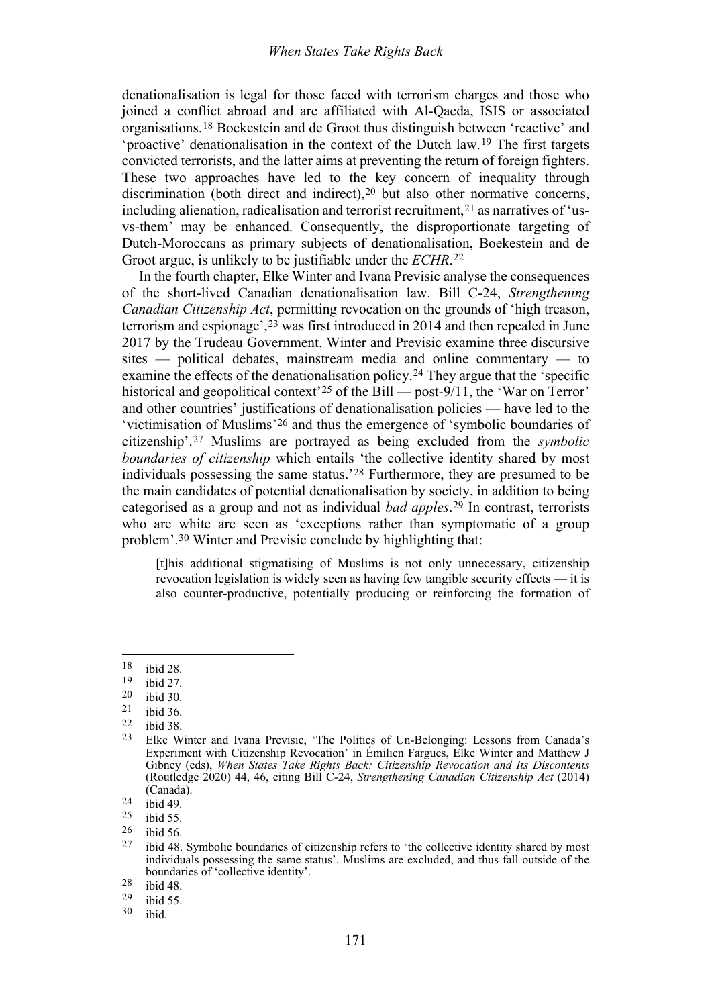denationalisation is legal for those faced with terrorism charges and those who joined a conflict abroad and are affiliated with Al-Qaeda, ISIS or associated organisations.[18](#page-2-0) Boekestein and de Groot thus distinguish between 'reactive' and 'proactive' denationalisation in the context of the Dutch law.[19](#page-2-1) The first targets convicted terrorists, and the latter aims at preventing the return of foreign fighters. These two approaches have led to the key concern of inequality through discrimination (both direct and indirect), <sup>[20](#page-2-2)</sup> but also other normative concerns, including alienation, radicalisation and terrorist recruitment,  $2<sup>1</sup>$  as narratives of 'usvs-them' may be enhanced. Consequently, the disproportionate targeting of Dutch-Moroccans as primary subjects of denationalisation, Boekestein and de Groot argue, is unlikely to be justifiable under the *ECHR*.[22](#page-2-4)

In the fourth chapter, Elke Winter and Ivana Previsic analyse the consequences of the short-lived Canadian denationalisation law. Bill C-24, *Strengthening Canadian Citizenship Act*, permitting revocation on the grounds of 'high treason, terrorism and espionage',[23](#page-2-5) was first introduced in 2014 and then repealed in June 2017 by the Trudeau Government. Winter and Previsic examine three discursive sites — political debates, mainstream media and online commentary — to examine the effects of the denationalisation policy.[24](#page-2-6) They argue that the 'specific historical and geopolitical context<sup>[25](#page-2-7)</sup> of the Bill — post-9/11, the 'War on Terror' and other countries' justifications of denationalisation policies — have led to the 'victimisation of Muslims'[26](#page-2-8) and thus the emergence of 'symbolic boundaries of citizenship'.[27](#page-2-9) Muslims are portrayed as being excluded from the *symbolic boundaries of citizenship* which entails 'the collective identity shared by most individuals possessing the same status.'[28](#page-2-10) Furthermore, they are presumed to be the main candidates of potential denationalisation by society, in addition to being categorised as a group and not as individual *bad apples*.[29](#page-2-11) In contrast, terrorists who are white are seen as 'exceptions rather than symptomatic of a group problem'.[30](#page-2-12) Winter and Previsic conclude by highlighting that:

[t]his additional stigmatising of Muslims is not only unnecessary, citizenship revocation legislation is widely seen as having few tangible security effects — it is also counter-productive, potentially producing or reinforcing the formation of

<span id="page-2-0"></span> $\frac{18}{19}$  ibid 28.

<span id="page-2-1"></span> $\frac{19}{20}$  ibid 27.

<span id="page-2-2"></span> $\frac{20}{21}$  ibid 30.

<span id="page-2-3"></span> $\frac{21}{22}$  ibid 36.

<span id="page-2-4"></span> $\frac{22}{23}$  ibid 38.

<span id="page-2-5"></span><sup>23</sup> Elke Winter and Ivana Previsic, 'The Politics of Un-Belonging: Lessons from Canada's Experiment with Citizenship Revocation' in Émilien Fargues, Elke Winter and Matthew J Gibney (eds), *When States Take Rights Back: Citizenship Revocation and Its Discontents*  (Routledge 2020) 44, 46, citing Bill C-24, *Strengthening Canadian Citizenship Act* (2014) (Canada).

<span id="page-2-6"></span> $\frac{24}{25}$  ibid 49.

<span id="page-2-7"></span> $\frac{25}{26}$  ibid 55.

<span id="page-2-9"></span><span id="page-2-8"></span> $\frac{26}{27}$  ibid 56.

ibid 48. Symbolic boundaries of citizenship refers to 'the collective identity shared by most individuals possessing the same status'. Muslims are excluded, and thus fall outside of the boundaries of 'collective identity'.

<span id="page-2-10"></span> $\frac{28}{29}$  ibid 48.

<span id="page-2-12"></span><span id="page-2-11"></span> $\frac{29}{30}$  ibid 55.

ibid.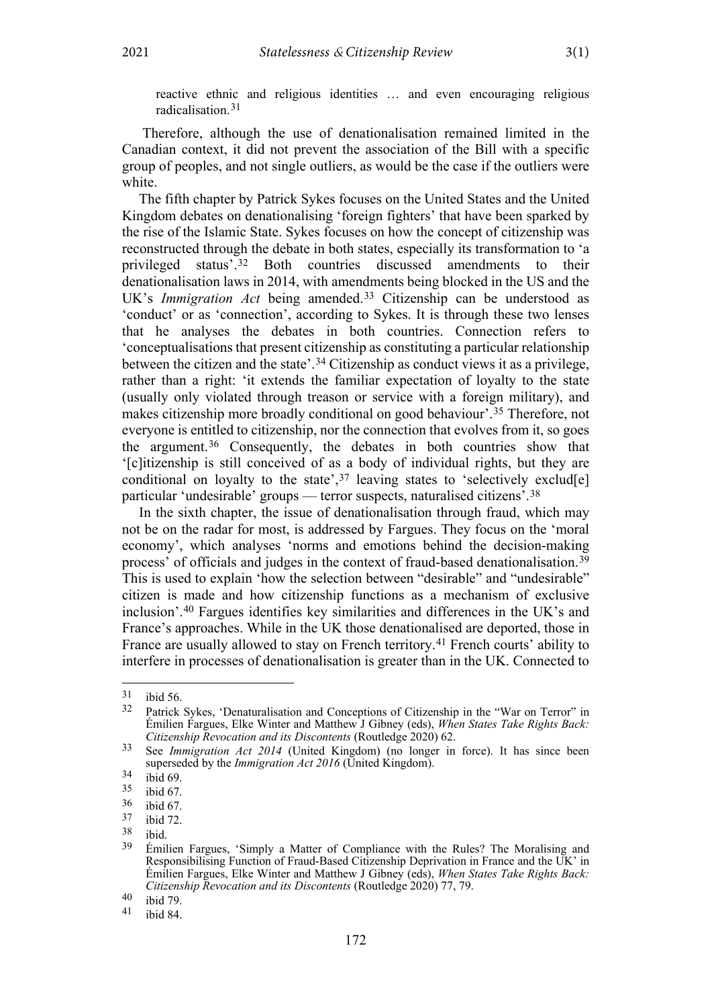reactive ethnic and religious identities … and even encouraging religious radicalisation.[31](#page-3-0)

Therefore, although the use of denationalisation remained limited in the Canadian context, it did not prevent the association of the Bill with a specific group of peoples, and not single outliers, as would be the case if the outliers were white.

The fifth chapter by Patrick Sykes focuses on the United States and the United Kingdom debates on denationalising 'foreign fighters' that have been sparked by the rise of the Islamic State. Sykes focuses on how the concept of citizenship was reconstructed through the debate in both states, especially its transformation to 'a privileged status'.[32](#page-3-1) Both countries discussed amendments to their denationalisation laws in 2014, with amendments being blocked in the US and the UK's *Immigration Act* being amended.<sup>[33](#page-3-2)</sup> Citizenship can be understood as 'conduct' or as 'connection', according to Sykes. It is through these two lenses that he analyses the debates in both countries. Connection refers to 'conceptualisations that present citizenship as constituting a particular relationship between the citizen and the state'.[34](#page-3-3) Citizenship as conduct views it as a privilege, rather than a right: 'it extends the familiar expectation of loyalty to the state (usually only violated through treason or service with a foreign military), and makes citizenship more broadly conditional on good behaviour'.[35](#page-3-4) Therefore, not everyone is entitled to citizenship, nor the connection that evolves from it, so goes the argument.[36](#page-3-5) Consequently, the debates in both countries show that '[c]itizenship is still conceived of as a body of individual rights, but they are conditional on loyalty to the state',  $37$  leaving states to 'selectively exclud[e] particular 'undesirable' groups — terror suspects, naturalised citizens'.[38](#page-3-7)

In the sixth chapter, the issue of denationalisation through fraud, which may not be on the radar for most, is addressed by Fargues. They focus on the 'moral economy', which analyses 'norms and emotions behind the decision-making process' of officials and judges in the context of fraud-based denationalisation.[39](#page-3-8) This is used to explain 'how the selection between "desirable" and "undesirable" citizen is made and how citizenship functions as a mechanism of exclusive inclusion'.[40](#page-3-9) Fargues identifies key similarities and differences in the UK's and France's approaches. While in the UK those denationalised are deported, those in France are usually allowed to stay on French territory.[41](#page-3-10) French courts' ability to interfere in processes of denationalisation is greater than in the UK. Connected to

<span id="page-3-1"></span><span id="page-3-0"></span> $\frac{31}{32}$  ibid 56.

Patrick Sykes, 'Denaturalisation and Conceptions of Citizenship in the "War on Terror" in Émilien Fargues, Elke Winter and Matthew J Gibney (eds), *When States Take Rights Back: Citizenship Revocation and its Discontents* (Routledge 2020) 62.

<span id="page-3-2"></span><sup>33</sup> See *Immigration Act 2014* (United Kingdom) (no longer in force). It has since been superseded by the *Immigration Act 2016* (United Kingdom).

<span id="page-3-3"></span> $34$  ibid 69.

<span id="page-3-4"></span> $\frac{35}{36}$  ibid 67.

<span id="page-3-5"></span> $\frac{36}{37}$  ibid 67.

<span id="page-3-6"></span> $\frac{37}{38}$  ibid 72.

<span id="page-3-7"></span> $\frac{38}{39}$  ibid.

<span id="page-3-8"></span><sup>39</sup> Émilien Fargues, 'Simply a Matter of Compliance with the Rules? The Moralising and Responsibilising Function of Fraud-Based Citizenship Deprivation in France and the UK' in Émilien Fargues, Elke Winter and Matthew J Gibney (eds), *When States Take Rights Back: Citizenship Revocation and its Discontents* (Routledge 2020) 77, 79.

<span id="page-3-10"></span><span id="page-3-9"></span> $40$  ibid 79.

ibid 84.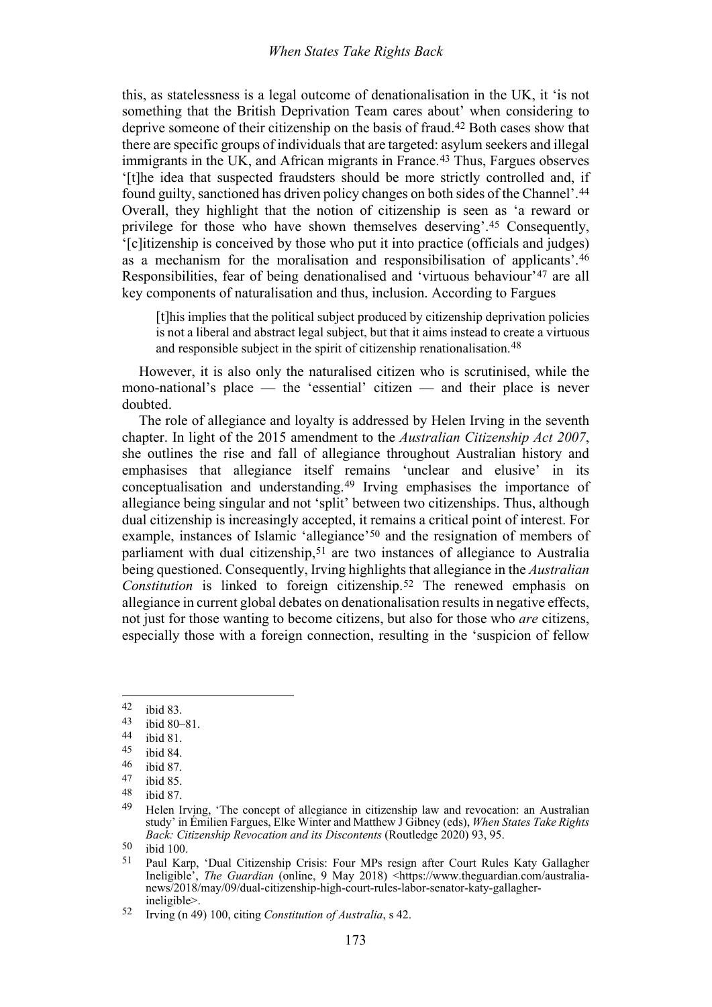this, as statelessness is a legal outcome of denationalisation in the UK, it 'is not something that the British Deprivation Team cares about' when considering to deprive someone of their citizenship on the basis of fraud.[42](#page-4-1) Both cases show that there are specific groups of individuals that are targeted: asylum seekers and illegal immigrants in the UK, and African migrants in France.<sup>[43](#page-4-2)</sup> Thus, Fargues observes '[t]he idea that suspected fraudsters should be more strictly controlled and, if found guilty, sanctioned has driven policy changes on both sides of the Channel'.[44](#page-4-3) Overall, they highlight that the notion of citizenship is seen as 'a reward or privilege for those who have shown themselves deserving'.[45](#page-4-4) Consequently, '[c]itizenship is conceived by those who put it into practice (officials and judges) as a mechanism for the moralisation and responsibilisation of applicants'[.46](#page-4-5) Responsibilities, fear of being denationalised and 'virtuous behaviour'[47](#page-4-6) are all key components of naturalisation and thus, inclusion. According to Fargues

[t]his implies that the political subject produced by citizenship deprivation policies is not a liberal and abstract legal subject, but that it aims instead to create a virtuous and responsible subject in the spirit of citizenship renationalisation.<sup>[48](#page-4-7)</sup>

However, it is also only the naturalised citizen who is scrutinised, while the mono-national's place — the 'essential' citizen — and their place is never doubted.

<span id="page-4-0"></span>The role of allegiance and loyalty is addressed by Helen Irving in the seventh chapter. In light of the 2015 amendment to the *Australian Citizenship Act 2007*, she outlines the rise and fall of allegiance throughout Australian history and emphasises that allegiance itself remains 'unclear and elusive' in its conceptualisation and understanding.[49](#page-4-8) Irving emphasises the importance of allegiance being singular and not 'split' between two citizenships. Thus, although dual citizenship is increasingly accepted, it remains a critical point of interest. For example, instances of Islamic 'allegiance'[50](#page-4-9) and the resignation of members of parliament with dual citizenship,[51](#page-4-10) are two instances of allegiance to Australia being questioned. Consequently, Irving highlights that allegiance in the *Australian Constitution* is linked to foreign citizenship.[52](#page-4-11) The renewed emphasis on allegiance in current global debates on denationalisation results in negative effects, not just for those wanting to become citizens, but also for those who *are* citizens, especially those with a foreign connection, resulting in the 'suspicion of fellow

<span id="page-4-1"></span> $42$  ibid 83.<br>43 ibid 80

<span id="page-4-2"></span> $\frac{43}{44}$  ibid 80–81.

<span id="page-4-3"></span> $44$  ibid 81.<br>45 ibid 84

<span id="page-4-4"></span> $\begin{matrix}45\\46\end{matrix}$  ibid 84.

<span id="page-4-5"></span> $\frac{46}{47}$  ibid 87.

<span id="page-4-6"></span> $\frac{47}{48}$  ibid 85.

<span id="page-4-7"></span> $\frac{48}{49}$  ibid 87.

<span id="page-4-8"></span>Helen Irving, 'The concept of allegiance in citizenship law and revocation: an Australian study' in Émilien Fargues, Elke Winter and Matthew J Gibney (eds), *When States Take Rights Back: Citizenship Revocation and its Discontents* (Routledge 2020) 93, 95.

<span id="page-4-10"></span><span id="page-4-9"></span> $50$  ibid 100.

<sup>51</sup> Paul Karp, 'Dual Citizenship Crisis: Four MPs resign after Court Rules Katy Gallagher Ineligible', *The Guardian* (online, 9 May 2018) <https://www.theguardian.com/australianews/2018/may/09/dual-citizenship-high-court-rules-labor-senator-katy-gallagherineligible>.

<span id="page-4-11"></span><sup>52</sup> Irving ([n 49\)](#page-4-0) 100, citing *Constitution of Australia*, s 42.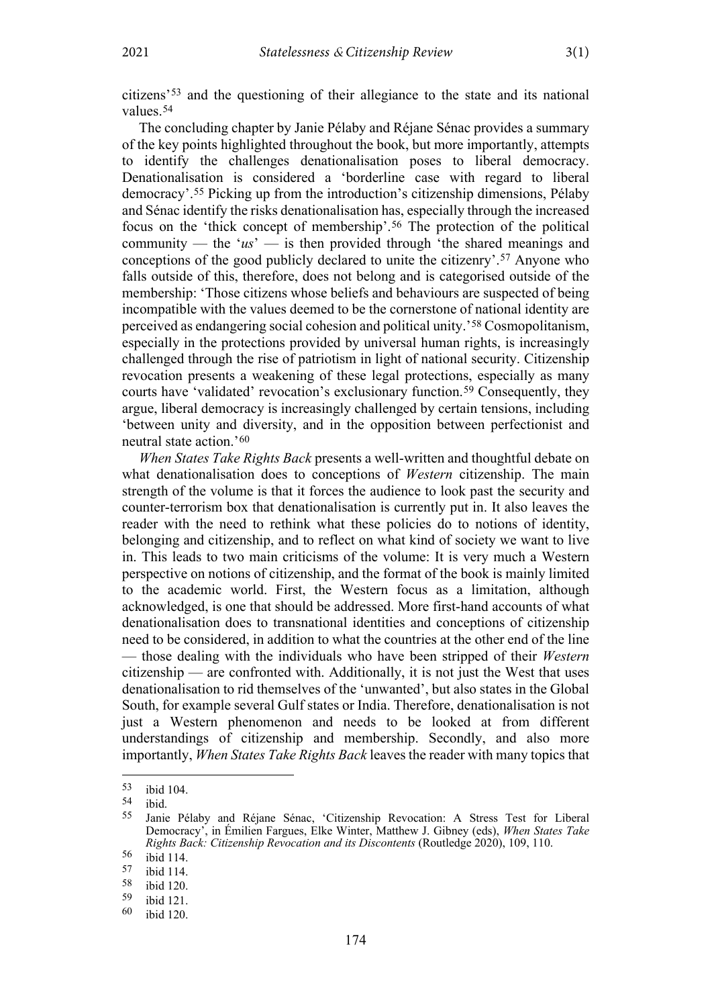citizens'[53](#page-5-0) and the questioning of their allegiance to the state and its national values.[54](#page-5-1)

The concluding chapter by Janie Pélaby and Réjane Sénac provides a summary of the key points highlighted throughout the book, but more importantly, attempts to identify the challenges denationalisation poses to liberal democracy. Denationalisation is considered a 'borderline case with regard to liberal democracy'.[55](#page-5-2) Picking up from the introduction's citizenship dimensions, Pélaby and Sénac identify the risks denationalisation has, especially through the increased focus on the 'thick concept of membership'.[56](#page-5-3) The protection of the political community — the '*us*' — is then provided through 'the shared meanings and conceptions of the good publicly declared to unite the citizenry'.[57](#page-5-4) Anyone who falls outside of this, therefore, does not belong and is categorised outside of the membership: 'Those citizens whose beliefs and behaviours are suspected of being incompatible with the values deemed to be the cornerstone of national identity are perceived as endangering social cohesion and political unity.'[58](#page-5-5) Cosmopolitanism, especially in the protections provided by universal human rights, is increasingly challenged through the rise of patriotism in light of national security. Citizenship revocation presents a weakening of these legal protections, especially as many courts have 'validated' revocation's exclusionary function.<sup>[59](#page-5-6)</sup> Consequently, they argue, liberal democracy is increasingly challenged by certain tensions, including 'between unity and diversity, and in the opposition between perfectionist and neutral state action.'[60](#page-5-7)

*When States Take Rights Back* presents a well-written and thoughtful debate on what denationalisation does to conceptions of *Western* citizenship. The main strength of the volume is that it forces the audience to look past the security and counter-terrorism box that denationalisation is currently put in. It also leaves the reader with the need to rethink what these policies do to notions of identity, belonging and citizenship, and to reflect on what kind of society we want to live in. This leads to two main criticisms of the volume: It is very much a Western perspective on notions of citizenship, and the format of the book is mainly limited to the academic world. First, the Western focus as a limitation, although acknowledged, is one that should be addressed. More first-hand accounts of what denationalisation does to transnational identities and conceptions of citizenship need to be considered, in addition to what the countries at the other end of the line — those dealing with the individuals who have been stripped of their *Western* citizenship — are confronted with. Additionally, it is not just the West that uses denationalisation to rid themselves of the 'unwanted', but also states in the Global South, for example several Gulf states or India. Therefore, denationalisation is not just a Western phenomenon and needs to be looked at from different understandings of citizenship and membership. Secondly, and also more importantly, *When States Take Rights Back* leaves the reader with many topics that

<span id="page-5-0"></span> $\begin{array}{cc} 53 & \text{ibid } 104. \\ 54 & \text{ibid } \end{array}$ 

<span id="page-5-1"></span> $\frac{54}{55}$  ibid.

<span id="page-5-2"></span><sup>55</sup> Janie Pélaby and Réjane Sénac, 'Citizenship Revocation: A Stress Test for Liberal Democracy', in Émilien Fargues, Elke Winter, Matthew J. Gibney (eds), *When States Take Rights Back: Citizenship Revocation and its Discontents* (Routledge 2020), 109, 110.

<span id="page-5-3"></span> $\frac{56}{57}$  ibid 114.

<span id="page-5-4"></span> $\frac{57}{58}$  ibid 114.

<span id="page-5-5"></span> $\frac{58}{59}$  ibid 120.

<span id="page-5-7"></span><span id="page-5-6"></span> $\frac{59}{60}$  ibid 121.

ibid 120.